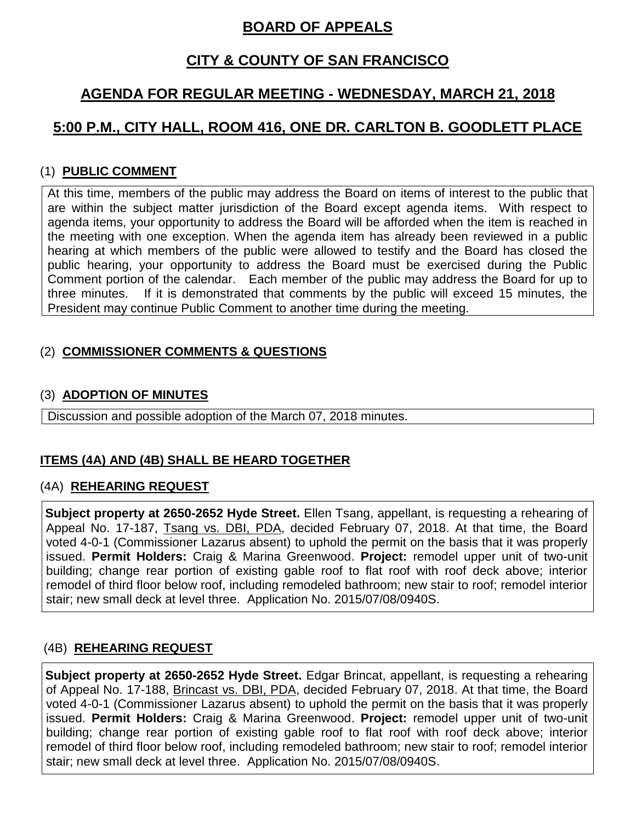## **BOARD OF APPEALS**

### **CITY & COUNTY OF SAN FRANCISCO**

# **AGENDA FOR REGULAR MEETING - WEDNESDAY, MARCH 21, 2018**

# **5:00 P.M., CITY HALL, ROOM 416, ONE DR. CARLTON B. GOODLETT PLACE**

### (1) **PUBLIC COMMENT**

At this time, members of the public may address the Board on items of interest to the public that are within the subject matter jurisdiction of the Board except agenda items. With respect to agenda items, your opportunity to address the Board will be afforded when the item is reached in the meeting with one exception. When the agenda item has already been reviewed in a public hearing at which members of the public were allowed to testify and the Board has closed the public hearing, your opportunity to address the Board must be exercised during the Public Comment portion of the calendar. Each member of the public may address the Board for up to three minutes. If it is demonstrated that comments by the public will exceed 15 minutes, the President may continue Public Comment to another time during the meeting.

### (2) **COMMISSIONER COMMENTS & QUESTIONS**

#### (3) **ADOPTION OF MINUTES**

Discussion and possible adoption of the March 07, 2018 minutes.

### **ITEMS (4A) AND (4B) SHALL BE HEARD TOGETHER**

#### (4A) **REHEARING REQUEST**

**Subject property at 2650-2652 Hyde Street.** Ellen Tsang, appellant, is requesting a rehearing of Appeal No. 17-187, Tsang vs. DBI, PDA, decided February 07, 2018. At that time, the Board voted 4-0-1 (Commissioner Lazarus absent) to uphold the permit on the basis that it was properly issued. **Permit Holders:** Craig & Marina Greenwood. **Project:** remodel upper unit of two-unit building; change rear portion of existing gable roof to flat roof with roof deck above; interior remodel of third floor below roof, including remodeled bathroom; new stair to roof; remodel interior stair; new small deck at level three. Application No. 2015/07/08/0940S.

### (4B) **REHEARING REQUEST**

**Subject property at 2650-2652 Hyde Street.** Edgar Brincat, appellant, is requesting a rehearing of Appeal No. 17-188, Brincast vs. DBI, PDA, decided February 07, 2018. At that time, the Board voted 4-0-1 (Commissioner Lazarus absent) to uphold the permit on the basis that it was properly issued. **Permit Holders:** Craig & Marina Greenwood. **Project:** remodel upper unit of two-unit building; change rear portion of existing gable roof to flat roof with roof deck above; interior remodel of third floor below roof, including remodeled bathroom; new stair to roof; remodel interior stair; new small deck at level three. Application No. 2015/07/08/0940S.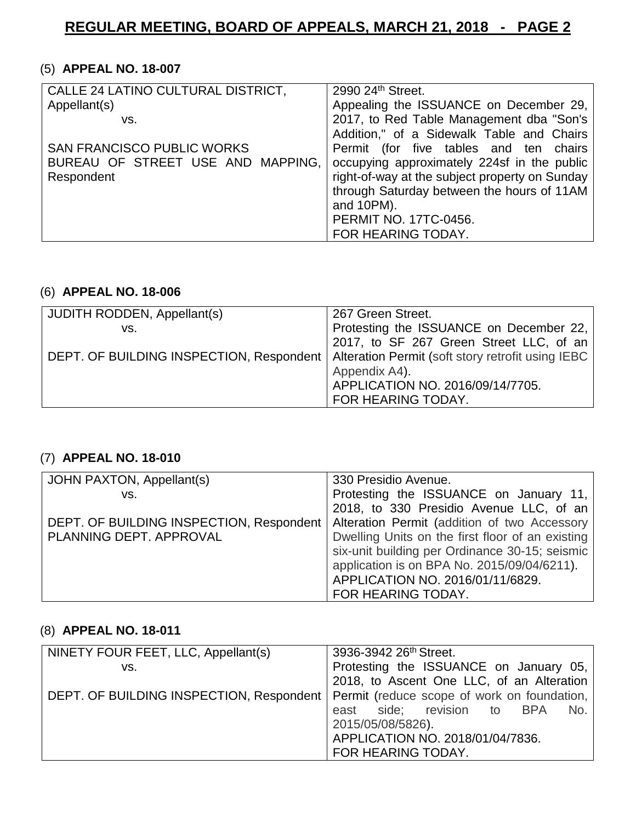#### (5) **APPEAL NO. 18-007**

| CALLE 24 LATINO CULTURAL DISTRICT, | 2990 24th Street.                              |
|------------------------------------|------------------------------------------------|
| Appellant(s)                       | Appealing the ISSUANCE on December 29,         |
| VS.                                | 2017, to Red Table Management dba "Son's       |
|                                    | Addition," of a Sidewalk Table and Chairs      |
| <b>SAN FRANCISCO PUBLIC WORKS</b>  | Permit (for five tables and ten chairs         |
| BUREAU OF STREET USE AND MAPPING,  | occupying approximately 224sf in the public    |
| Respondent                         | right-of-way at the subject property on Sunday |
|                                    | through Saturday between the hours of 11AM     |
|                                    | and 10PM).                                     |
|                                    | <b>PERMIT NO. 17TC-0456.</b>                   |
|                                    | FOR HEARING TODAY.                             |

#### (6) **APPEAL NO. 18-006**

| <b>JUDITH RODDEN, Appellant(s)</b>                                                           | 267 Green Street.                       |
|----------------------------------------------------------------------------------------------|-----------------------------------------|
| VS.                                                                                          | Protesting the ISSUANCE on December 22, |
|                                                                                              | 2017, to SF 267 Green Street LLC, of an |
| DEPT. OF BUILDING INSPECTION, Respondent   Alteration Permit (soft story retrofit using IEBC |                                         |
|                                                                                              | Appendix A4).                           |
|                                                                                              | APPLICATION NO. 2016/09/14/7705.        |
|                                                                                              | FOR HEARING TODAY.                      |

### (7) **APPEAL NO. 18-010**

| JOHN PAXTON, Appellant(s)                | 330 Presidio Avenue.                             |
|------------------------------------------|--------------------------------------------------|
| VS.                                      | Protesting the ISSUANCE on January 11,           |
|                                          | 2018, to 330 Presidio Avenue LLC, of an          |
| DEPT. OF BUILDING INSPECTION, Respondent | Alteration Permit (addition of two Accessory     |
| PLANNING DEPT. APPROVAL                  | Dwelling Units on the first floor of an existing |
|                                          | six-unit building per Ordinance 30-15; seismic   |
|                                          | application is on BPA No. 2015/09/04/6211).      |
|                                          | APPLICATION NO. 2016/01/11/6829.                 |
|                                          | FOR HEARING TODAY.                               |

#### (8) **APPEAL NO. 18-011**

| NINETY FOUR FEET, LLC, Appellant(s)                                                    | 3936-3942 26 <sup>th</sup> Street.        |
|----------------------------------------------------------------------------------------|-------------------------------------------|
| VS.                                                                                    | Protesting the ISSUANCE on January 05,    |
|                                                                                        | 2018, to Ascent One LLC, of an Alteration |
| DEPT. OF BUILDING INSPECTION, Respondent   Permit (reduce scope of work on foundation, |                                           |
|                                                                                        | east side; revision to BPA<br>No.         |
|                                                                                        | 2015/05/08/5826).                         |
|                                                                                        | APPLICATION NO. 2018/01/04/7836.          |
|                                                                                        | FOR HEARING TODAY.                        |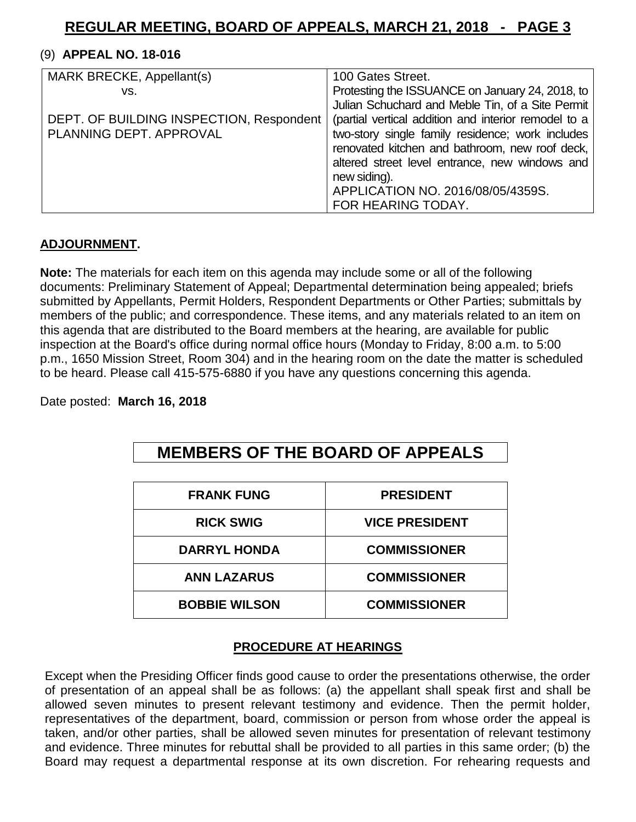#### (9) **APPEAL NO. 18-016**

| MARK BRECKE, Appellant(s)                | 100 Gates Street.                                    |
|------------------------------------------|------------------------------------------------------|
| VS.                                      | Protesting the ISSUANCE on January 24, 2018, to      |
|                                          | Julian Schuchard and Meble Tin, of a Site Permit     |
| DEPT. OF BUILDING INSPECTION, Respondent | (partial vertical addition and interior remodel to a |
| PLANNING DEPT. APPROVAL                  | two-story single family residence; work includes     |
|                                          | renovated kitchen and bathroom, new roof deck,       |
|                                          | altered street level entrance, new windows and       |
|                                          | new siding).                                         |
|                                          | APPLICATION NO. 2016/08/05/4359S.                    |
|                                          | FOR HEARING TODAY.                                   |

#### **ADJOURNMENT.**

**Note:** The materials for each item on this agenda may include some or all of the following documents: Preliminary Statement of Appeal; Departmental determination being appealed; briefs submitted by Appellants, Permit Holders, Respondent Departments or Other Parties; submittals by members of the public; and correspondence. These items, and any materials related to an item on this agenda that are distributed to the Board members at the hearing, are available for public inspection at the Board's office during normal office hours (Monday to Friday, 8:00 a.m. to 5:00 p.m., 1650 Mission Street, Room 304) and in the hearing room on the date the matter is scheduled to be heard. Please call 415-575-6880 if you have any questions concerning this agenda.

Date posted: **March 16, 2018**

# **MEMBERS OF THE BOARD OF APPEALS**

| <b>FRANK FUNG</b>    | <b>PRESIDENT</b>      |
|----------------------|-----------------------|
| <b>RICK SWIG</b>     | <b>VICE PRESIDENT</b> |
| <b>DARRYL HONDA</b>  | <b>COMMISSIONER</b>   |
| <b>ANN LAZARUS</b>   | <b>COMMISSIONER</b>   |
| <b>BOBBIE WILSON</b> | <b>COMMISSIONER</b>   |

#### **PROCEDURE AT HEARINGS**

Except when the Presiding Officer finds good cause to order the presentations otherwise, the order of presentation of an appeal shall be as follows: (a) the appellant shall speak first and shall be allowed seven minutes to present relevant testimony and evidence. Then the permit holder, representatives of the department, board, commission or person from whose order the appeal is taken, and/or other parties, shall be allowed seven minutes for presentation of relevant testimony and evidence. Three minutes for rebuttal shall be provided to all parties in this same order; (b) the Board may request a departmental response at its own discretion. For rehearing requests and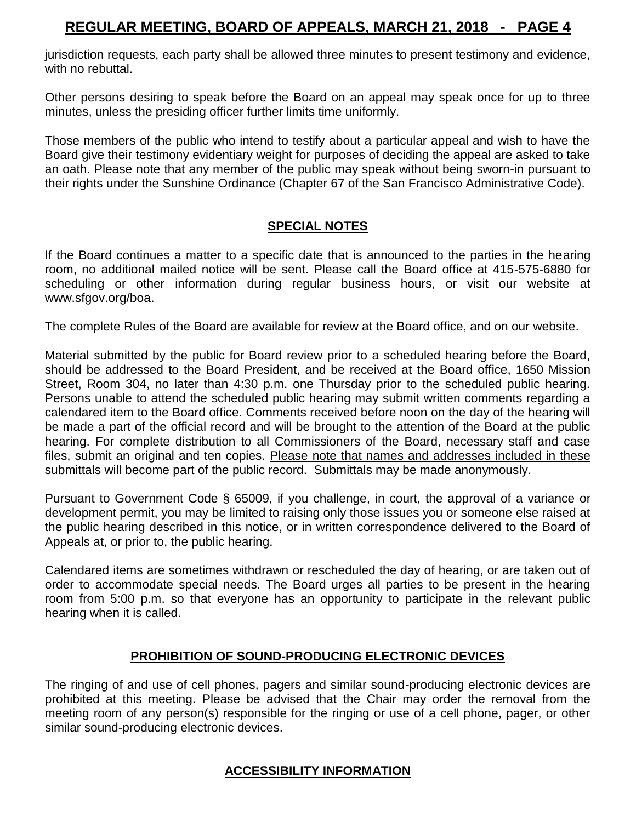jurisdiction requests, each party shall be allowed three minutes to present testimony and evidence, with no rebuttal.

Other persons desiring to speak before the Board on an appeal may speak once for up to three minutes, unless the presiding officer further limits time uniformly.

Those members of the public who intend to testify about a particular appeal and wish to have the Board give their testimony evidentiary weight for purposes of deciding the appeal are asked to take an oath. Please note that any member of the public may speak without being sworn-in pursuant to their rights under the Sunshine Ordinance (Chapter 67 of the San Francisco Administrative Code).

#### **SPECIAL NOTES**

If the Board continues a matter to a specific date that is announced to the parties in the hearing room, no additional mailed notice will be sent. Please call the Board office at 415-575-6880 for scheduling or other information during regular business hours, or visit our website at [www.sfgov.org/boa.](http://www.sfgov.org/boa)

The complete Rules of the Board are available for review at the Board office, and on our website.

Material submitted by the public for Board review prior to a scheduled hearing before the Board, should be addressed to the Board President, and be received at the Board office, 1650 Mission Street, Room 304, no later than 4:30 p.m. one Thursday prior to the scheduled public hearing. Persons unable to attend the scheduled public hearing may submit written comments regarding a calendared item to the Board office. Comments received before noon on the day of the hearing will be made a part of the official record and will be brought to the attention of the Board at the public hearing. For complete distribution to all Commissioners of the Board, necessary staff and case files, submit an original and ten copies. Please note that names and addresses included in these submittals will become part of the public record. Submittals may be made anonymously.

Pursuant to Government Code § 65009, if you challenge, in court, the approval of a variance or development permit, you may be limited to raising only those issues you or someone else raised at the public hearing described in this notice, or in written correspondence delivered to the Board of Appeals at, or prior to, the public hearing.

Calendared items are sometimes withdrawn or rescheduled the day of hearing, or are taken out of order to accommodate special needs. The Board urges all parties to be present in the hearing room from 5:00 p.m. so that everyone has an opportunity to participate in the relevant public hearing when it is called.

#### **PROHIBITION OF SOUND-PRODUCING ELECTRONIC DEVICES**

The ringing of and use of cell phones, pagers and similar sound-producing electronic devices are prohibited at this meeting. Please be advised that the Chair may order the removal from the meeting room of any person(s) responsible for the ringing or use of a cell phone, pager, or other similar sound-producing electronic devices.

#### **ACCESSIBILITY INFORMATION**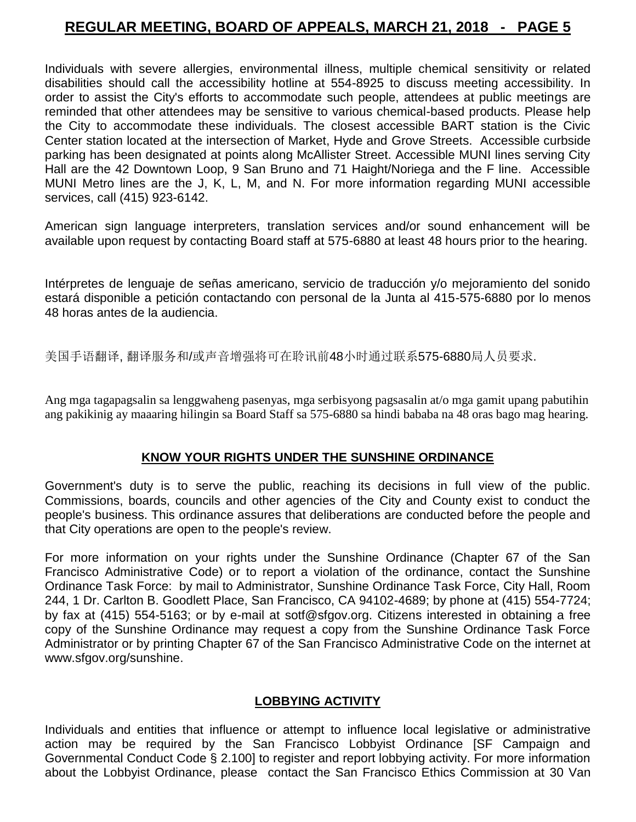Individuals with severe allergies, environmental illness, multiple chemical sensitivity or related disabilities should call the accessibility hotline at 554-8925 to discuss meeting accessibility. In order to assist the City's efforts to accommodate such people, attendees at public meetings are reminded that other attendees may be sensitive to various chemical-based products. Please help the City to accommodate these individuals. The closest accessible BART station is the Civic Center station located at the intersection of Market, Hyde and Grove Streets. Accessible curbside parking has been designated at points along McAllister Street. Accessible MUNI lines serving City Hall are the 42 Downtown Loop, 9 San Bruno and 71 Haight/Noriega and the F line. Accessible MUNI Metro lines are the J, K, L, M, and N. For more information regarding MUNI accessible services, call (415) 923-6142.

American sign language interpreters, translation services and/or sound enhancement will be available upon request by contacting Board staff at 575-6880 at least 48 hours prior to the hearing.

Intérpretes de lenguaje de señas americano, servicio de traducción y/o mejoramiento del sonido estará disponible a petición contactando con personal de la Junta al 415-575-6880 por lo menos 48 horas antes de la audiencia.

美国手语翻译, 翻译服务和/或声音增强将可在聆讯前48小时通过联系575-6880局人员要求.

Ang mga tagapagsalin sa lenggwaheng pasenyas, mga serbisyong pagsasalin at/o mga gamit upang pabutihin ang pakikinig ay maaaring hilingin sa Board Staff sa 575-6880 sa hindi bababa na 48 oras bago mag hearing.

#### **KNOW YOUR RIGHTS UNDER THE SUNSHINE ORDINANCE**

Government's duty is to serve the public, reaching its decisions in full view of the public. Commissions, boards, councils and other agencies of the City and County exist to conduct the people's business. This ordinance assures that deliberations are conducted before the people and that City operations are open to the people's review.

For more information on your rights under the Sunshine Ordinance (Chapter 67 of the San Francisco Administrative Code) or to report a violation of the ordinance, contact the Sunshine Ordinance Task Force: by mail to Administrator, Sunshine Ordinance Task Force, City Hall, Room 244, 1 Dr. Carlton B. Goodlett Place, San Francisco, CA 94102-4689; by phone at (415) 554-7724; by fax at (415) 554-5163; or by e-mail at [sotf@sfgov.org.](mailto:sotf@sfgov.org) Citizens interested in obtaining a free copy of the Sunshine Ordinance may request a copy from the Sunshine Ordinance Task Force Administrator or by printing Chapter 67 of the San Francisco Administrative Code on the internet at [www.sfgov.org/sunshine.](http://www.sfgov.org/sunshine)

#### **LOBBYING ACTIVITY**

Individuals and entities that influence or attempt to influence local legislative or administrative action may be required by the San Francisco Lobbyist Ordinance [SF Campaign and Governmental Conduct Code § 2.100] to register and report lobbying activity. For more information about the Lobbyist Ordinance, please contact the San Francisco Ethics Commission at 30 Van